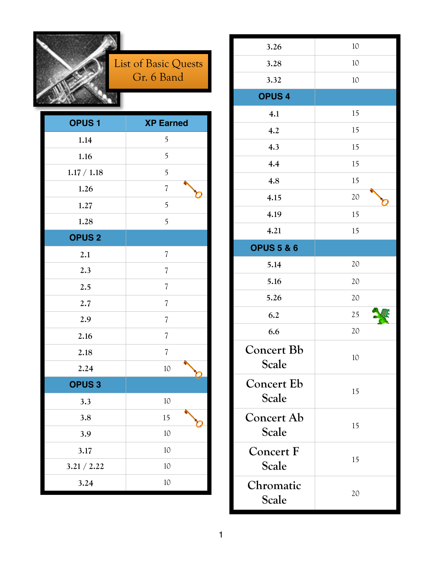

#### List of Basic Quests Gr. 6 Band

| <b>OPUS1</b>            | <b>XP Earned</b>         |
|-------------------------|--------------------------|
| 1.14                    | 5                        |
| $1.16$                  | 5                        |
| 1.17 / 1.18             | 5                        |
| 1.26                    | $\sqrt{2}$               |
| 1.27                    | 5                        |
| 1.28                    | 5                        |
| <b>OPUS<sub>2</sub></b> |                          |
| 2.1                     | $\sqrt{2}$               |
| 2.3                     | $\overline{\mathcal{U}}$ |
| 2.5                     | $\overline{\mathcal{U}}$ |
| 2.7                     | $\overline{\mathcal{U}}$ |
| 2.9                     | $\overline{\mathcal{U}}$ |
| 2.16                    | $\overline{\mathcal{U}}$ |
| 2.18                    | $\sqrt{2}$               |
| 2.24                    | 10                       |
| <b>OPUS3</b>            |                          |
| 3.3                     | 10                       |
| 3.8                     | 15                       |
| 3.9                     | 10                       |
| 3.17                    | 10                       |
| 3.21 / 2.22             | 10                       |
| 3.24                    | 10                       |

| 3.26                              | 10 |
|-----------------------------------|----|
| 3.28                              | 10 |
| 3.32                              | 10 |
| <b>OPUS4</b>                      |    |
| 4.1                               | 15 |
| 4.2                               | 15 |
| 4.3                               | 15 |
| 4.4                               | 15 |
| 4.8                               | 15 |
| 4.15                              | 20 |
| 4.19                              | 15 |
| 4.21                              | 15 |
| <b>OPUS 5 &amp; 6</b>             |    |
| 5.14                              | 20 |
| 5.16                              | 20 |
| 5.26                              | 20 |
| 6.2                               | 25 |
| 6.6                               | 20 |
| <b>Concert Bb</b><br><b>Scale</b> | 10 |
| <b>Concert Eb</b><br><b>Scale</b> | 15 |
| <b>Concert Ab</b><br>Scale        | 15 |
| <b>Concert F</b><br><b>Scale</b>  | 15 |
| Chromatic<br>Scale                | 20 |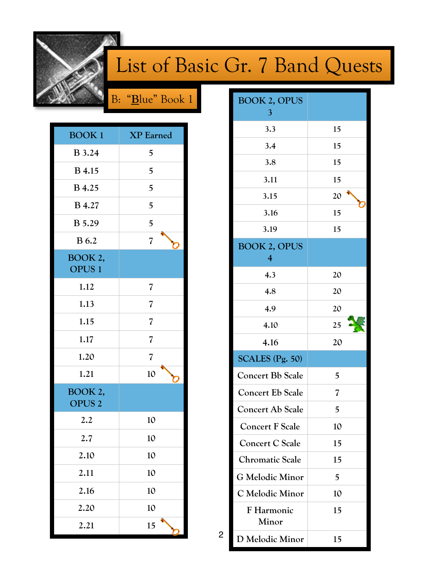

### List of Basic Gr. 7 Band Quests

B: "**B**lue" Book 1

| <b>BOOK1</b>                 | <b>XP</b> Earned             |
|------------------------------|------------------------------|
| <b>B</b> 3.24                | 5                            |
| <b>B</b> 4.15                | 5                            |
| <b>B</b> 4.25                | 5                            |
| <b>B</b> 4.27                | 5                            |
| <b>B</b> 5.29                | 5                            |
| <b>B</b> 6.2                 | $\overline{\mathbf{z}}$<br>n |
| BOOK 2,<br><b>OPUS1</b>      |                              |
| 1.12                         | $\overline{\mathcal{U}}$     |
| 1.13                         | $\overline{\mathcal{L}}$     |
| 1.15                         | $\overline{\mathcal{L}}$     |
| 1.17                         | $\overline{\mathcal{L}}$     |
| 1.20                         | $\overline{\mathcal{L}}$     |
| 1.21                         | 10<br>n                      |
| BOOK 2,<br>OPUS <sub>2</sub> |                              |
| 2.2                          | 10                           |
| 2.7                          | 10                           |
| 2.10                         | 10                           |
| 2.11                         | 10                           |
| 2.16                         | 10                           |
| 2.20                         | 10                           |
| 2.21                         | 15                           |

| <b>BOOK 2, OPUS</b><br>3              |                          |
|---------------------------------------|--------------------------|
| 3.3                                   | 15                       |
| 3.4                                   | 15                       |
| 3.8                                   | 15                       |
| 3.11                                  | 15                       |
| 3.15                                  | 20                       |
| 3.16                                  | 15                       |
| 3.19                                  | 15                       |
| <b>BOOK 2, OPUS</b><br>$\overline{4}$ |                          |
| 4.3                                   | 20                       |
| 4.8                                   | 20                       |
| 4.9                                   | 20                       |
| 4.10                                  | 25                       |
| 4.16                                  | 20                       |
| SCALES (Pg. 50)                       |                          |
| <b>Concert Bb Scale</b>               | 5                        |
| <b>Concert Eb Scale</b>               | $\overline{\mathcal{L}}$ |
| <b>Concert Ab Scale</b>               | 5                        |
| <b>Concert F Scale</b>                | 10                       |
| <b>Concert C Scale</b>                | 15                       |
| <b>Chromatic Scale</b>                | 15                       |
| G Melodic Minor                       | 5                        |
| C Melodic Minor                       | 10                       |
| F Harmonic<br>Minor                   | 15                       |
| D Melodic Minor                       | 15                       |

2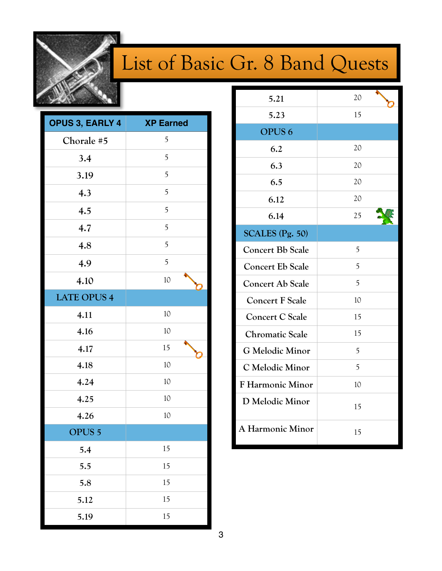

## List of Basic Gr. 8 Band Quests

| OPUS 3, EARLY 4    | <b>XP Earned</b> |
|--------------------|------------------|
| Chorale #5         | 5                |
| 3.4                | 5                |
| 3.19               | 5                |
| 4.3                | 5                |
| 4.5                | 5                |
| 4.7                | 5                |
| 4.8                | 5                |
| 4.9                | 5                |
| 4.10               | 10               |
| <b>LATE OPUS 4</b> |                  |
| 4.11               | 10               |
| 4.16               | 10               |
| 4.17               | 15               |
| 4.18               | 10               |
| 4.24               | 10               |
| 4.25               | 10               |
| 4.26               | 10               |
| <b>OPUS 5</b>      |                  |
| 5.4                | 15               |
| 5.5                | 15               |
| 5.8                | 15               |
| 5.12               | 15               |
| 5.19               | 15               |

| 5.21                    | 20 |
|-------------------------|----|
| 5.23                    | 15 |
| OPUS <sub>6</sub>       |    |
| 6.2                     | 20 |
| 6.3                     | 20 |
| 6.5                     | 20 |
| 6.12                    | 20 |
| 6.14                    | 25 |
| SCALES (Pg. 50)         |    |
| <b>Concert Bb Scale</b> | 5  |
| <b>Concert Eb Scale</b> | 5  |
| <b>Concert Ab Scale</b> | 5  |
| <b>Concert F Scale</b>  | 10 |
| <b>Concert C Scale</b>  | 15 |
| <b>Chromatic Scale</b>  | 15 |
| G Melodic Minor         | 5  |
| C Melodic Minor         | 5  |
| <b>F Harmonic Minor</b> | 10 |
| D Melodic Minor         | 15 |
| A Harmonic Minor        | 15 |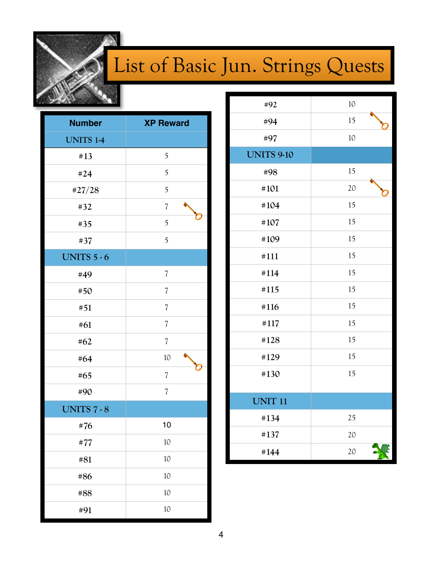

## List of Basic Jun. Strings Quests

| <b>Number</b>      | <b>XP Reward</b>         |
|--------------------|--------------------------|
| <b>UNITS 1-4</b>   |                          |
| #13                | 5                        |
| #24                | 5                        |
| #27/28             | 5                        |
| #32                | $\overline{\mathcal{U}}$ |
| #35                | 5                        |
| #37                | 5                        |
| <b>UNITS 5 - 6</b> |                          |
| #49                | $\sqrt{2}$               |
| #50                | $\sqrt{2}$               |
| #51                | $\overline{\mathcal{U}}$ |
| #61                | 7                        |
| #62                | $\overline{\mathcal{U}}$ |
| #64                | 10                       |
| #65                | $\sqrt{2}$               |
| #90                | $\overline{\mathcal{U}}$ |
| <b>UNITS 7 - 8</b> |                          |
| #76                | 10                       |
| #77                | 10                       |
| #81                | 10                       |
| #86                | 10                       |
| #88                | 10                       |
| #91                | 10                       |

| #92               | 10 |
|-------------------|----|
| #94               | 15 |
| #97               | 10 |
| <b>UNITS 9-10</b> |    |
| #98               | 15 |
| #101              | 20 |
| #104              | 15 |
| #107              | 15 |
| #109              | 15 |
| #111              | 15 |
| #114              | 15 |
| #115              | 15 |
| #116              | 15 |
| #117              | 15 |
| #128              | 15 |
| #129              | 15 |
| #130              | 15 |
| <b>UNIT 11</b>    |    |
| #134              | 25 |
| #137              | 20 |
| #144              | 20 |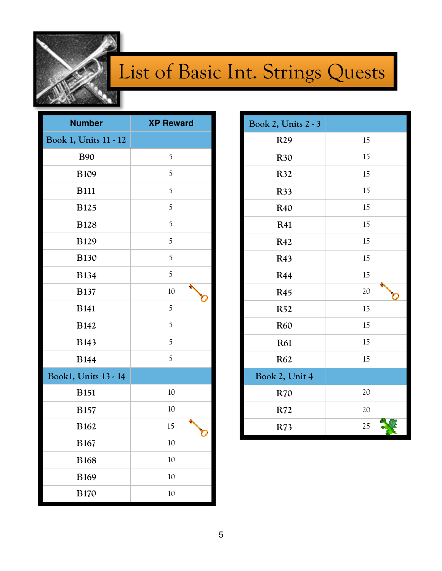

#### List of Basic Int. Strings Quests

| <b>Number</b>         | <b>XP Reward</b> |
|-----------------------|------------------|
| Book 1, Units 11 - 12 |                  |
| <b>B90</b>            | 5                |
| <b>B109</b>           | 5                |
| <b>B111</b>           | 5                |
| <b>B125</b>           | 5                |
| <b>B128</b>           | 5                |
| <b>B129</b>           | 5                |
| <b>B130</b>           | 5                |
| <b>B134</b>           | 5                |
| <b>B137</b>           | 10               |
| <b>B141</b>           | 5                |
| <b>B142</b>           | 5                |
| <b>B143</b>           | 5                |
| <b>B144</b>           | 5                |
| Book1, Units 13 - 14  |                  |
| <b>B151</b>           | 10               |
| <b>B157</b>           | 10               |
| <b>B162</b>           | 15               |
| <b>B167</b>           | 10               |
| <b>B168</b>           | 10               |
| <b>B169</b>           | 10               |
| <b>B170</b>           | 10               |

| Book 2, Units 2 - 3 |    |
|---------------------|----|
| R29                 | 15 |
| <b>R30</b>          | 15 |
| R32                 | 15 |
| <b>R33</b>          | 15 |
| R40                 | 15 |
| <b>R41</b>          | 15 |
| R42                 | 15 |
| R43                 | 15 |
| <b>R44</b>          | 15 |
| <b>R45</b>          | 20 |
| <b>R52</b>          | 15 |
| <b>R60</b>          | 15 |
| <b>R61</b>          | 15 |
| R62                 | 15 |
| Book 2, Unit 4      |    |
| <b>R70</b>          | 20 |
| R72                 | 20 |
| R73                 | 25 |